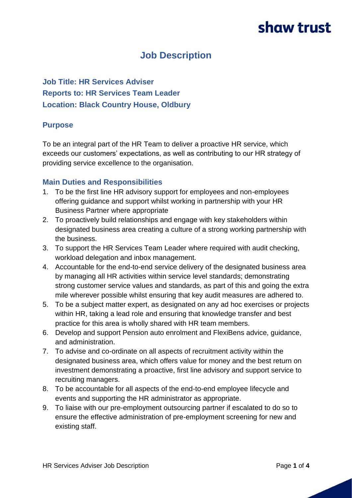### **Job Description**

**Job Title: HR Services Adviser Reports to: HR Services Team Leader Location: Black Country House, Oldbury** 

#### **Purpose**

To be an integral part of the HR Team to deliver a proactive HR service, which exceeds our customers' expectations, as well as contributing to our HR strategy of providing service excellence to the organisation.

#### **Main Duties and Responsibilities**

- 1. To be the first line HR advisory support for employees and non-employees offering guidance and support whilst working in partnership with your HR Business Partner where appropriate
- 2. To proactively build relationships and engage with key stakeholders within designated business area creating a culture of a strong working partnership with the business.
- 3. To support the HR Services Team Leader where required with audit checking, workload delegation and inbox management.
- 4. Accountable for the end-to-end service delivery of the designated business area by managing all HR activities within service level standards; demonstrating strong customer service values and standards, as part of this and going the extra mile wherever possible whilst ensuring that key audit measures are adhered to.
- 5. To be a subject matter expert, as designated on any ad hoc exercises or projects within HR, taking a lead role and ensuring that knowledge transfer and best practice for this area is wholly shared with HR team members.
- 6. Develop and support Pension auto enrolment and FlexiBens advice, guidance, and administration.
- 7. To advise and co-ordinate on all aspects of recruitment activity within the designated business area, which offers value for money and the best return on investment demonstrating a proactive, first line advisory and support service to recruiting managers.
- 8. To be accountable for all aspects of the end-to-end employee lifecycle and events and supporting the HR administrator as appropriate.
- 9. To liaise with our pre-employment outsourcing partner if escalated to do so to ensure the effective administration of pre-employment screening for new and existing staff.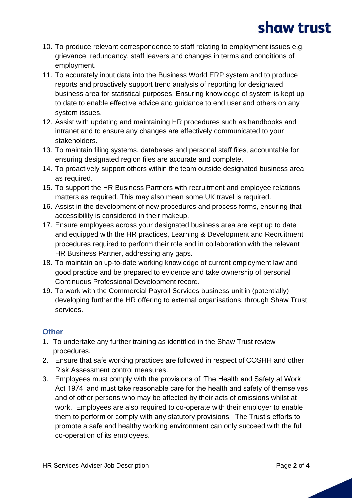- 10. To produce relevant correspondence to staff relating to employment issues e.g. grievance, redundancy, staff leavers and changes in terms and conditions of employment.
- 11. To accurately input data into the Business World ERP system and to produce reports and proactively support trend analysis of reporting for designated business area for statistical purposes. Ensuring knowledge of system is kept up to date to enable effective advice and guidance to end user and others on any system issues.
- 12. Assist with updating and maintaining HR procedures such as handbooks and intranet and to ensure any changes are effectively communicated to your stakeholders.
- 13. To maintain filing systems, databases and personal staff files, accountable for ensuring designated region files are accurate and complete.
- 14. To proactively support others within the team outside designated business area as required.
- 15. To support the HR Business Partners with recruitment and employee relations matters as required. This may also mean some UK travel is required.
- 16. Assist in the development of new procedures and process forms, ensuring that accessibility is considered in their makeup.
- 17. Ensure employees across your designated business area are kept up to date and equipped with the HR practices, Learning & Development and Recruitment procedures required to perform their role and in collaboration with the relevant HR Business Partner, addressing any gaps.
- 18. To maintain an up-to-date working knowledge of current employment law and good practice and be prepared to evidence and take ownership of personal Continuous Professional Development record.
- 19. To work with the Commercial Payroll Services business unit in (potentially) developing further the HR offering to external organisations, through Shaw Trust services.

### **Other**

- 1. To undertake any further training as identified in the Shaw Trust review procedures.
- 2. Ensure that safe working practices are followed in respect of COSHH and other Risk Assessment control measures.
- 3. Employees must comply with the provisions of 'The Health and Safety at Work Act 1974' and must take reasonable care for the health and safety of themselves and of other persons who may be affected by their acts of omissions whilst at work. Employees are also required to co-operate with their employer to enable them to perform or comply with any statutory provisions. The Trust's efforts to promote a safe and healthy working environment can only succeed with the full co-operation of its employees.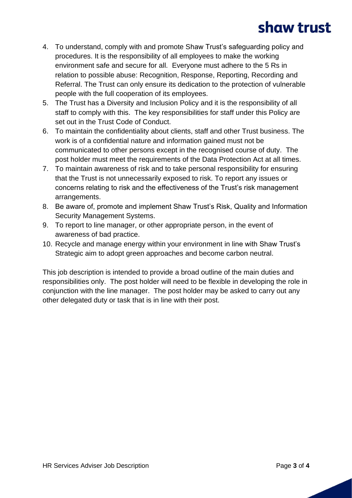- 4. To understand, comply with and promote Shaw Trust's safeguarding policy and procedures. It is the responsibility of all employees to make the working environment safe and secure for all. Everyone must adhere to the 5 Rs in relation to possible abuse: Recognition, Response, Reporting, Recording and Referral. The Trust can only ensure its dedication to the protection of vulnerable people with the full cooperation of its employees.
- 5. The Trust has a Diversity and Inclusion Policy and it is the responsibility of all staff to comply with this. The key responsibilities for staff under this Policy are set out in the Trust Code of Conduct.
- 6. To maintain the confidentiality about clients, staff and other Trust business. The work is of a confidential nature and information gained must not be communicated to other persons except in the recognised course of duty. The post holder must meet the requirements of the Data Protection Act at all times.
- 7. To maintain awareness of risk and to take personal responsibility for ensuring that the Trust is not unnecessarily exposed to risk. To report any issues or concerns relating to risk and the effectiveness of the Trust's risk management arrangements.
- 8. Be aware of, promote and implement Shaw Trust's Risk, Quality and Information Security Management Systems.
- 9. To report to line manager, or other appropriate person, in the event of awareness of bad practice.
- 10. Recycle and manage energy within your environment in line with Shaw Trust's Strategic aim to adopt green approaches and become carbon neutral.

This job description is intended to provide a broad outline of the main duties and responsibilities only. The post holder will need to be flexible in developing the role in conjunction with the line manager. The post holder may be asked to carry out any other delegated duty or task that is in line with their post.